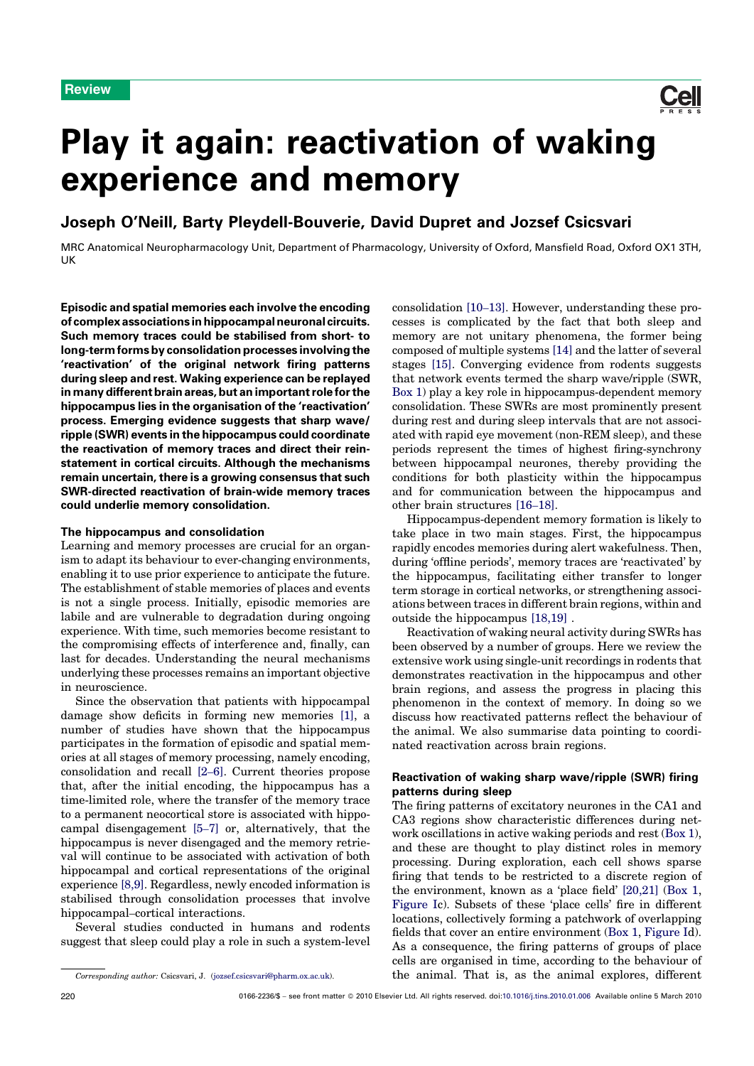

# Play it again: reactivation of waking experience and memory

Joseph O'Neill, Barty Pleydell-Bouverie, David Dupret and Jozsef Csicsvari

MRC Anatomical Neuropharmacology Unit, Department of Pharmacology, University of Oxford, Mansfield Road, Oxford OX1 3TH, UK

Episodic and spatial memories each involve the encoding of complex associations in hippocampal neuronal circuits. Such memory traces could be stabilised from short- to long-term forms by consolidation processes involving the 'reactivation' of the original network firing patterns during sleep and rest. Waking experience can be replayed in many different brain areas, but an important role for the hippocampus lies in the organisation of the 'reactivation' process. Emerging evidence suggests that sharp wave/ ripple (SWR) events in the hippocampus could coordinate the reactivation of memory traces and direct their reinstatement in cortical circuits. Although the mechanisms remain uncertain, there is a growing consensus that such SWR-directed reactivation of brain-wide memory traces could underlie memory consolidation.

### The hippocampus and consolidation

Learning and memory processes are crucial for an organism to adapt its behaviour to ever-changing environments, enabling it to use prior experience to anticipate the future. The establishment of stable memories of places and events is not a single process. Initially, episodic memories are labile and are vulnerable to degradation during ongoing experience. With time, such memories become resistant to the compromising effects of interference and, finally, can last for decades. Understanding the neural mechanisms underlying these processes remains an important objective in neuroscience.

Since the observation that patients with hippocampal damage show deficits in forming new memories [1], a number of studies have shown that the hippocampus participates in the formation of episodic and spatial memories at all stages of memory processing, namely encoding, consolidation and recall [2–6]. Current theories propose that, after the initial encoding, the hippocampus has a time-limited role, where the transfer of the memory trace to a permanent neocortical store is associated with hippocampal disengagement [5–7] or, alternatively, that the hippocampus is never disengaged and the memory retrieval will continue to be associated with activation of both hippocampal and cortical representations of the original experience [8,9]. Regardless, newly encoded information is stabilised through consolidation processes that involve hippocampal–cortical interactions.

Several studies conducted in humans and rodents suggest that sleep could play a role in such a system-level consolidation [10–13]. However, understanding these processes is complicated by the fact that both sleep and memory are not unitary phenomena, the former being composed of multiple systems [14] and the latter of several stages [15]. Converging evidence from rodents suggests that network events termed the sharp wave/ripple (SWR, Box 1) play a key role in hippocampus-dependent memory consolidation. These SWRs are most prominently present during rest and during sleep intervals that are not associated with rapid eye movement (non-REM sleep), and these periods represent the times of highest firing-synchrony between hippocampal neurones, thereby providing the conditions for both plasticity within the hippocampus and for communication between the hippocampus and other brain structures [16–18].

Hippocampus-dependent memory formation is likely to take place in two main stages. First, the hippocampus rapidly encodes memories during alert wakefulness. Then, during 'offline periods', memory traces are 'reactivated' by the hippocampus, facilitating either transfer to longer term storage in cortical networks, or strengthening associations between traces in different brain regions, within and outside the hippocampus [18,19] .

Reactivation of waking neural activity during SWRs has been observed by a number of groups. Here we review the extensive work using single-unit recordings in rodents that demonstrates reactivation in the hippocampus and other brain regions, and assess the progress in placing this phenomenon in the context of memory. In doing so we discuss how reactivated patterns reflect the behaviour of the animal. We also summarise data pointing to coordinated reactivation across brain regions.

# Reactivation of waking sharp wave/ripple (SWR) firing patterns during sleep

The firing patterns of excitatory neurones in the CA1 and CA3 regions show characteristic differences during network oscillations in active waking periods and rest (Box 1), and these are thought to play distinct roles in memory processing. During exploration, each cell shows sparse firing that tends to be restricted to a discrete region of the environment, known as a 'place field' [20,21] (Box 1, Figure Ic). Subsets of these 'place cells' fire in different locations, collectively forming a patchwork of overlapping fields that cover an entire environment (Box 1, Figure Id). As a consequence, the firing patterns of groups of place cells are organised in time, according to the behaviour of the animal. That is, as the animal explores, different

Corresponding author: Csicsvari, J. (jozsef.csicsvari@pharm.ox.ac.uk).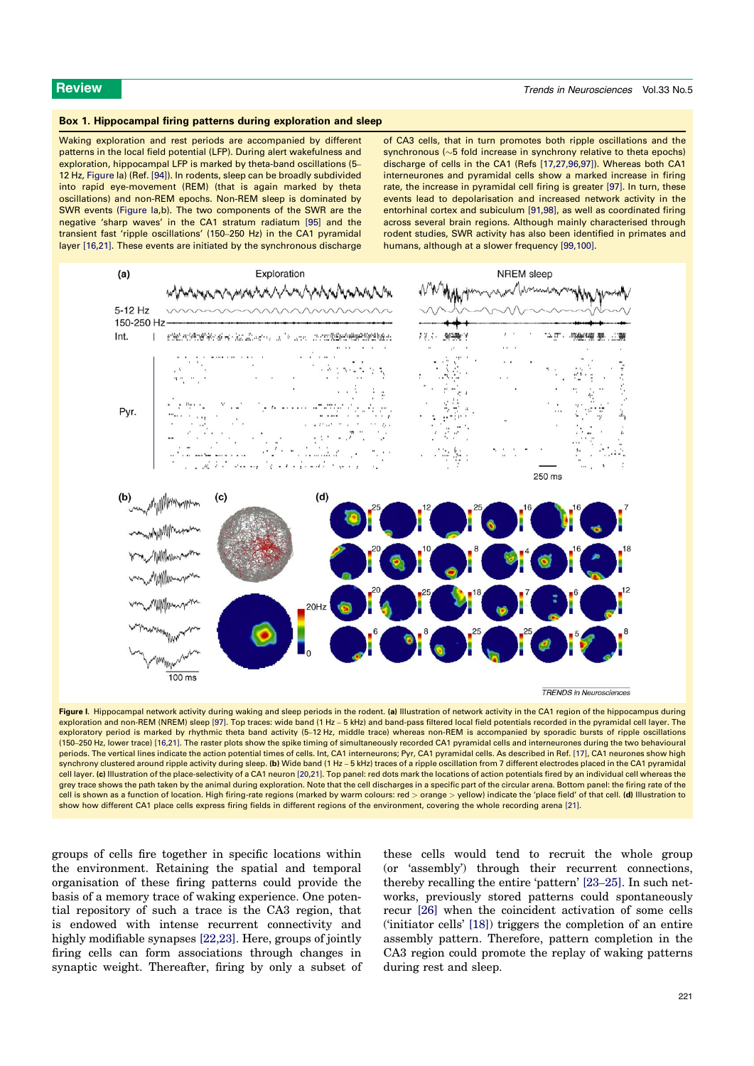### Box 1. Hippocampal firing patterns during exploration and sleep

Waking exploration and rest periods are accompanied by different patterns in the local field potential (LFP). During alert wakefulness and exploration, hippocampal LFP is marked by theta-band oscillations (5– 12 Hz, Figure Ia) (Ref. [94]). In rodents, sleep can be broadly subdivided into rapid eye-movement (REM) (that is again marked by theta oscillations) and non-REM epochs. Non-REM sleep is dominated by SWR events (Figure Ia,b). The two components of the SWR are the negative 'sharp waves' in the CA1 stratum radiatum [95] and the transient fast 'ripple oscillations' (150–250 Hz) in the CA1 pyramidal layer [16,21]. These events are initiated by the synchronous discharge of CA3 cells, that in turn promotes both ripple oscillations and the synchronous ( $\sim$ 5 fold increase in synchrony relative to theta epochs) discharge of cells in the CA1 (Refs [17,27,96,97]). Whereas both CA1 interneurones and pyramidal cells show a marked increase in firing rate, the increase in pyramidal cell firing is greater [97]. In turn, these events lead to depolarisation and increased network activity in the entorhinal cortex and subiculum [91,98], as well as coordinated firing across several brain regions. Although mainly characterised through rodent studies, SWR activity has also been identified in primates and humans, although at a slower frequency [99,100].



Figure I. Hippocampal network activity during waking and sleep periods in the rodent. (a) Illustration of network activity in the CA1 region of the hippocampus during exploration and non-REM (NREM) sleep [97]. Top traces: wide band (1 Hz – 5 kHz) and band-pass filtered local field potentials recorded in the pyramidal cell layer. The exploratory period is marked by rhythmic theta band activity (5–12 Hz, middle trace) whereas non-REM is accompanied by sporadic bursts of ripple oscillations (150–250 Hz, lower trace) [16,21]. The raster plots show the spike timing of simultaneously recorded CA1 pyramidal cells and interneurones during the two behavioural periods. The vertical lines indicate the action potential times of cells. Int, CA1 interneurons; Pyr, CA1 pyramidal cells. As described in Ref. [17], CA1 neurones show high synchrony clustered around ripple activity during sleep. (b) Wide band (1 Hz – 5 kHz) traces of a ripple oscillation from 7 different electrodes placed in the CA1 pyramidal cell layer. (c) Illustration of the place-selectivity of a CA1 neuron [20,21]. Top panel: red dots mark the locations of action potentials fired by an individual cell whereas the grey trace shows the path taken by the animal during exploration. Note that the cell discharges in a specific part of the circular arena. Bottom panel: the firing rate of the cell is shown as a function of location. High firing-rate regions (marked by warm colours: red > orange > yellow) indicate the 'place field' of that cell. (d) Illustration to show how different CA1 place cells express firing fields in different regions of the environment, covering the whole recording arena [21].

groups of cells fire together in specific locations within the environment. Retaining the spatial and temporal organisation of these firing patterns could provide the basis of a memory trace of waking experience. One potential repository of such a trace is the CA3 region, that is endowed with intense recurrent connectivity and highly modifiable synapses [22,23]. Here, groups of jointly firing cells can form associations through changes in synaptic weight. Thereafter, firing by only a subset of these cells would tend to recruit the whole group (or 'assembly') through their recurrent connections, thereby recalling the entire 'pattern' [23–25]. In such networks, previously stored patterns could spontaneously recur [26] when the coincident activation of some cells ('initiator cells' [18]) triggers the completion of an entire assembly pattern. Therefore, pattern completion in the CA3 region could promote the replay of waking patterns during rest and sleep.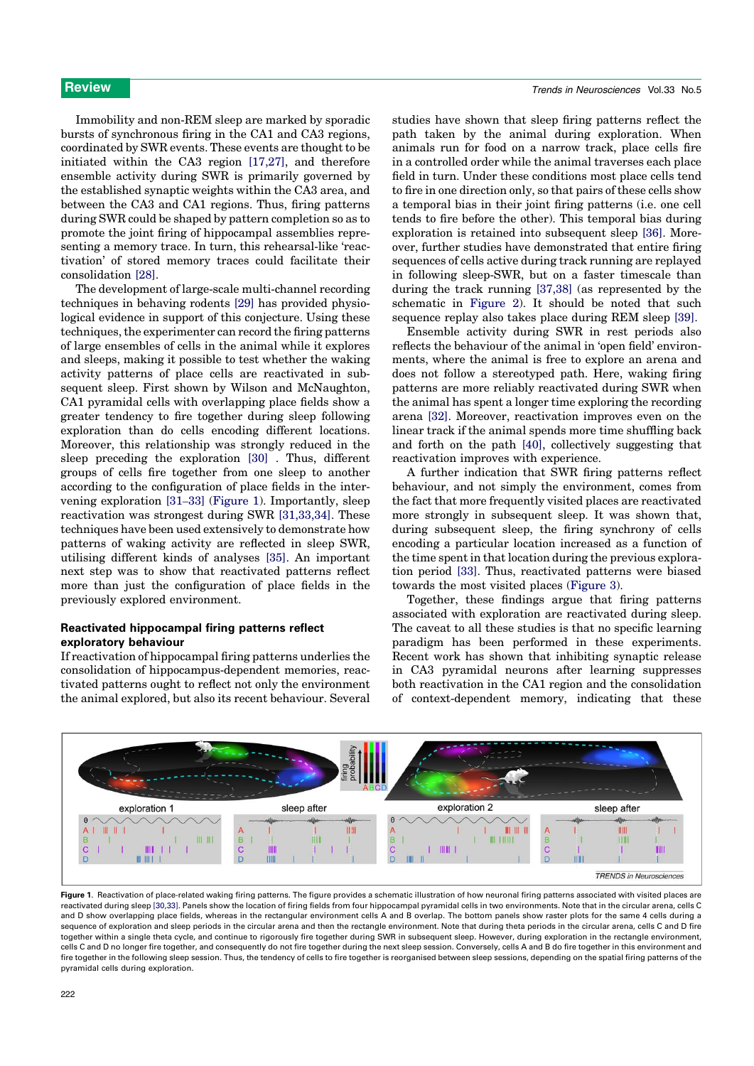Immobility and non-REM sleep are marked by sporadic bursts of synchronous firing in the CA1 and CA3 regions, coordinated by SWR events. These events are thought to be initiated within the CA3 region [17,27], and therefore ensemble activity during SWR is primarily governed by the established synaptic weights within the CA3 area, and between the CA3 and CA1 regions. Thus, firing patterns during SWR could be shaped by pattern completion so as to promote the joint firing of hippocampal assemblies representing a memory trace. In turn, this rehearsal-like 'reactivation' of stored memory traces could facilitate their consolidation [28].

The development of large-scale multi-channel recording techniques in behaving rodents [29] has provided physiological evidence in support of this conjecture. Using these techniques, the experimenter can record the firing patterns of large ensembles of cells in the animal while it explores and sleeps, making it possible to test whether the waking activity patterns of place cells are reactivated in subsequent sleep. First shown by Wilson and McNaughton, CA1 pyramidal cells with overlapping place fields show a greater tendency to fire together during sleep following exploration than do cells encoding different locations. Moreover, this relationship was strongly reduced in the sleep preceding the exploration [30] . Thus, different groups of cells fire together from one sleep to another according to the configuration of place fields in the intervening exploration [31–33] (Figure 1). Importantly, sleep reactivation was strongest during SWR [31,33,34]. These techniques have been used extensively to demonstrate how patterns of waking activity are reflected in sleep SWR, utilising different kinds of analyses [35]. An important next step was to show that reactivated patterns reflect more than just the configuration of place fields in the previously explored environment.

# Reactivated hippocampal firing patterns reflect exploratory behaviour

If reactivation of hippocampal firing patterns underlies the consolidation of hippocampus-dependent memories, reactivated patterns ought to reflect not only the environment the animal explored, but also its recent behaviour. Several

studies have shown that sleep firing patterns reflect the path taken by the animal during exploration. When animals run for food on a narrow track, place cells fire in a controlled order while the animal traverses each place field in turn. Under these conditions most place cells tend to fire in one direction only, so that pairs of these cells show a temporal bias in their joint firing patterns (i.e. one cell tends to fire before the other). This temporal bias during exploration is retained into subsequent sleep [36]. Moreover, further studies have demonstrated that entire firing sequences of cells active during track running are replayed in following sleep-SWR, but on a faster timescale than during the track running [37,38] (as represented by the schematic in Figure 2). It should be noted that such sequence replay also takes place during REM sleep [39].

Ensemble activity during SWR in rest periods also reflects the behaviour of the animal in 'open field' environments, where the animal is free to explore an arena and does not follow a stereotyped path. Here, waking firing patterns are more reliably reactivated during SWR when the animal has spent a longer time exploring the recording arena [32]. Moreover, reactivation improves even on the linear track if the animal spends more time shuffling back and forth on the path [40], collectively suggesting that reactivation improves with experience.

A further indication that SWR firing patterns reflect behaviour, and not simply the environment, comes from the fact that more frequently visited places are reactivated more strongly in subsequent sleep. It was shown that, during subsequent sleep, the firing synchrony of cells encoding a particular location increased as a function of the time spent in that location during the previous exploration period [33]. Thus, reactivated patterns were biased towards the most visited places (Figure 3).

Together, these findings argue that firing patterns associated with exploration are reactivated during sleep. The caveat to all these studies is that no specific learning paradigm has been performed in these experiments. Recent work has shown that inhibiting synaptic release in CA3 pyramidal neurons after learning suppresses both reactivation in the CA1 region and the consolidation of context-dependent memory, indicating that these



Figure 1. Reactivation of place-related waking firing patterns. The figure provides a schematic illustration of how neuronal firing patterns associated with visited places are reactivated during sleep [30,33]. Panels show the location of firing fields from four hippocampal pyramidal cells in two environments. Note that in the circular arena, cells C and D show overlapping place fields, whereas in the rectangular environment cells A and B overlap. The bottom panels show raster plots for the same 4 cells during a sequence of exploration and sleep periods in the circular arena and then the rectangle environment. Note that during theta periods in the circular arena, cells C and D fire together within a single theta cycle, and continue to rigorously fire together during SWR in subsequent sleep. However, during exploration in the rectangle environment, cells C and D no longer fire together, and consequently do not fire together during the next sleep session. Conversely, cells A and B do fire together in this environment and fire together in the following sleep session. Thus, the tendency of cells to fire together is reorganised between sleep sessions, depending on the spatial firing patterns of the pyramidal cells during exploration.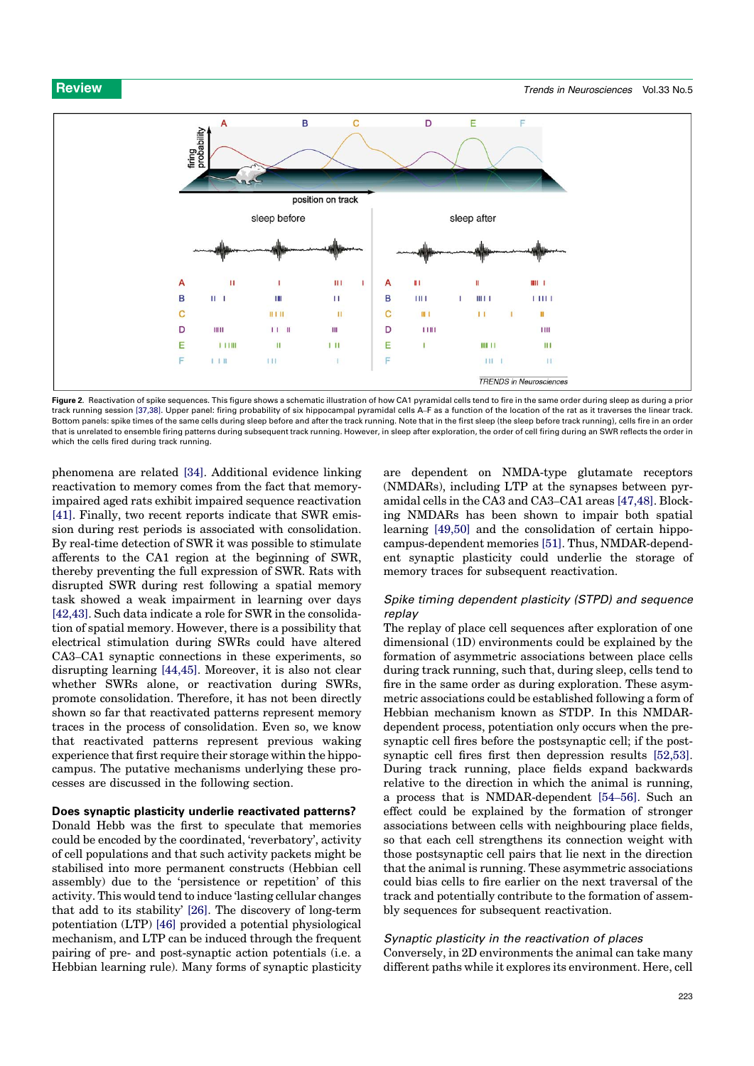

Figure 2. Reactivation of spike sequences. This figure shows a schematic illustration of how CA1 pyramidal cells tend to fire in the same order during sleep as during a prior track running session [37,38]. Upper panel: firing probability of six hippocampal pyramidal cells A–F as a function of the location of the rat as it traverses the linear track. Bottom panels: spike times of the same cells during sleep before and after the track running. Note that in the first sleep (the sleep before track running), cells fire in an order that is unrelated to ensemble firing patterns during subsequent track running. However, in sleep after exploration, the order of cell firing during an SWR reflects the order in which the cells fired during track running.

phenomena are related [34]. Additional evidence linking reactivation to memory comes from the fact that memoryimpaired aged rats exhibit impaired sequence reactivation [41]. Finally, two recent reports indicate that SWR emission during rest periods is associated with consolidation. By real-time detection of SWR it was possible to stimulate afferents to the CA1 region at the beginning of SWR, thereby preventing the full expression of SWR. Rats with disrupted SWR during rest following a spatial memory task showed a weak impairment in learning over days [42,43]. Such data indicate a role for SWR in the consolidation of spatial memory. However, there is a possibility that electrical stimulation during SWRs could have altered CA3–CA1 synaptic connections in these experiments, so disrupting learning [44,45]. Moreover, it is also not clear whether SWRs alone, or reactivation during SWRs, promote consolidation. Therefore, it has not been directly shown so far that reactivated patterns represent memory traces in the process of consolidation. Even so, we know that reactivated patterns represent previous waking experience that first require their storage within the hippocampus. The putative mechanisms underlying these processes are discussed in the following section.

# Does synaptic plasticity underlie reactivated patterns?

Donald Hebb was the first to speculate that memories could be encoded by the coordinated, 'reverbatory', activity of cell populations and that such activity packets might be stabilised into more permanent constructs (Hebbian cell assembly) due to the 'persistence or repetition' of this activity. This would tend to induce 'lasting cellular changes that add to its stability' [26]. The discovery of long-term potentiation (LTP) [46] provided a potential physiological mechanism, and LTP can be induced through the frequent pairing of pre- and post-synaptic action potentials (i.e. a Hebbian learning rule). Many forms of synaptic plasticity are dependent on NMDA-type glutamate receptors (NMDARs), including LTP at the synapses between pyramidal cells in the CA3 and CA3–CA1 areas [47,48]. Blocking NMDARs has been shown to impair both spatial learning [49,50] and the consolidation of certain hippocampus-dependent memories [51]. Thus, NMDAR-dependent synaptic plasticity could underlie the storage of memory traces for subsequent reactivation.

# Spike timing dependent plasticity (STPD) and sequence replay

The replay of place cell sequences after exploration of one dimensional (1D) environments could be explained by the formation of asymmetric associations between place cells during track running, such that, during sleep, cells tend to fire in the same order as during exploration. These asymmetric associations could be established following a form of Hebbian mechanism known as STDP. In this NMDARdependent process, potentiation only occurs when the presynaptic cell fires before the postsynaptic cell; if the postsynaptic cell fires first then depression results [52,53]. During track running, place fields expand backwards relative to the direction in which the animal is running, a process that is NMDAR-dependent [54–56]. Such an effect could be explained by the formation of stronger associations between cells with neighbouring place fields, so that each cell strengthens its connection weight with those postsynaptic cell pairs that lie next in the direction that the animal is running. These asymmetric associations could bias cells to fire earlier on the next traversal of the track and potentially contribute to the formation of assembly sequences for subsequent reactivation.

# Synaptic plasticity in the reactivation of places

Conversely, in 2D environments the animal can take many different paths while it explores its environment. Here, cell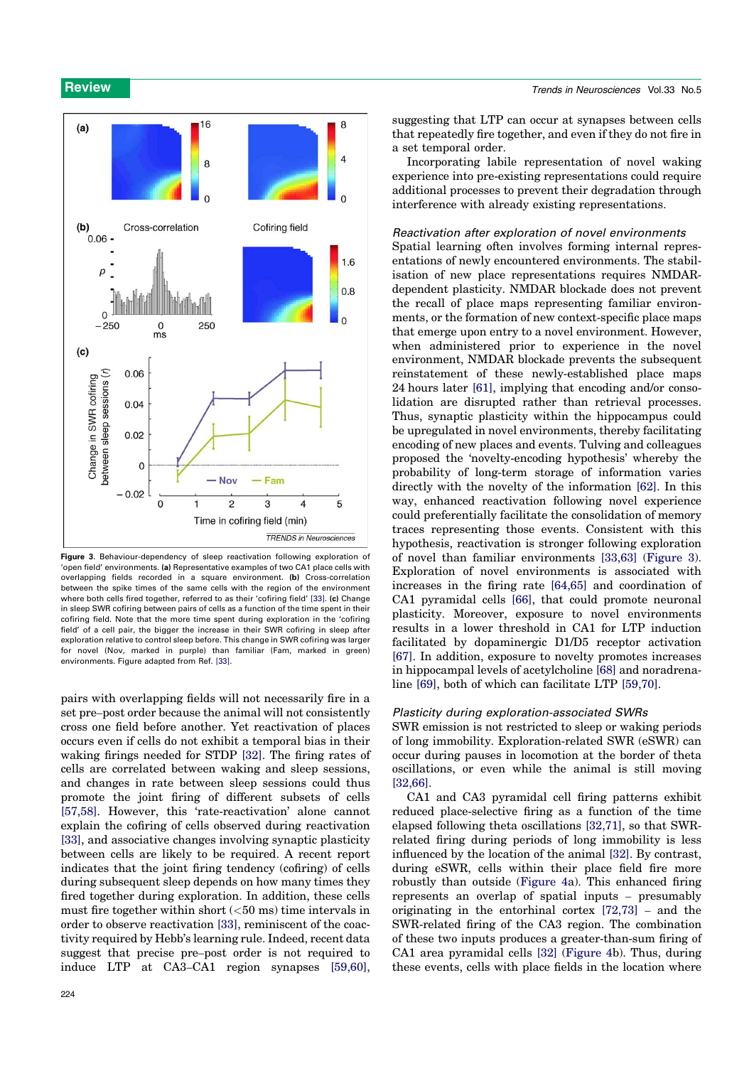

Figure 3. Behaviour-dependency of sleep reactivation following exploration of 'open field' environments. (a) Representative examples of two CA1 place cells with overlapping fields recorded in a square environment. (b) Cross-correlation between the spike times of the same cells with the region of the environment where both cells fired together, referred to as their 'cofiring field' [33]. (c) Change in sleep SWR cofiring between pairs of cells as a function of the time spent in their cofiring field. Note that the more time spent during exploration in the 'cofiring field' of a cell pair, the bigger the increase in their SWR cofiring in sleep after exploration relative to control sleep before. This change in SWR cofiring was larger for novel (Nov, marked in purple) than familiar (Fam, marked in green) environments. Figure adapted from Ref. [33].

pairs with overlapping fields will not necessarily fire in a set pre–post order because the animal will not consistently cross one field before another. Yet reactivation of places occurs even if cells do not exhibit a temporal bias in their waking firings needed for STDP [32]. The firing rates of cells are correlated between waking and sleep sessions, and changes in rate between sleep sessions could thus promote the joint firing of different subsets of cells [57,58]. However, this 'rate-reactivation' alone cannot explain the cofiring of cells observed during reactivation [33], and associative changes involving synaptic plasticity between cells are likely to be required. A recent report indicates that the joint firing tendency (cofiring) of cells during subsequent sleep depends on how many times they fired together during exploration. In addition, these cells must fire together within short  $(<50$  ms) time intervals in order to observe reactivation [33], reminiscent of the coactivity required by Hebb's learning rule. Indeed, recent data suggest that precise pre–post order is not required to induce LTP at CA3–CA1 region synapses [59,60],

suggesting that LTP can occur at synapses between cells that repeatedly fire together, and even if they do not fire in a set temporal order.

Incorporating labile representation of novel waking experience into pre-existing representations could require additional processes to prevent their degradation through interference with already existing representations.

### Reactivation after exploration of novel environments

Spatial learning often involves forming internal representations of newly encountered environments. The stabilisation of new place representations requires NMDARdependent plasticity. NMDAR blockade does not prevent the recall of place maps representing familiar environments, or the formation of new context-specific place maps that emerge upon entry to a novel environment. However, when administered prior to experience in the novel environment, NMDAR blockade prevents the subsequent reinstatement of these newly-established place maps 24 hours later [61], implying that encoding and/or consolidation are disrupted rather than retrieval processes. Thus, synaptic plasticity within the hippocampus could be upregulated in novel environments, thereby facilitating encoding of new places and events. Tulving and colleagues proposed the 'novelty-encoding hypothesis' whereby the probability of long-term storage of information varies directly with the novelty of the information [62]. In this way, enhanced reactivation following novel experience could preferentially facilitate the consolidation of memory traces representing those events. Consistent with this hypothesis, reactivation is stronger following exploration of novel than familiar environments [33,63] (Figure 3). Exploration of novel environments is associated with increases in the firing rate [64,65] and coordination of CA1 pyramidal cells [66], that could promote neuronal plasticity. Moreover, exposure to novel environments results in a lower threshold in CA1 for LTP induction facilitated by dopaminergic D1/D5 receptor activation [67]. In addition, exposure to novelty promotes increases in hippocampal levels of acetylcholine [68] and noradrenaline [69], both of which can facilitate LTP [59,70].

### Plasticity during exploration-associated SWRs

SWR emission is not restricted to sleep or waking periods of long immobility. Exploration-related SWR (eSWR) can occur during pauses in locomotion at the border of theta oscillations, or even while the animal is still moving [32,66].

CA1 and CA3 pyramidal cell firing patterns exhibit reduced place-selective firing as a function of the time elapsed following theta oscillations [32,71], so that SWRrelated firing during periods of long immobility is less influenced by the location of the animal [32]. By contrast, during eSWR, cells within their place field fire more robustly than outside (Figure 4a). This enhanced firing represents an overlap of spatial inputs – presumably originating in the entorhinal cortex [72,73] – and the SWR-related firing of the CA3 region. The combination of these two inputs produces a greater-than-sum firing of CA1 area pyramidal cells [32] (Figure 4b). Thus, during these events, cells with place fields in the location where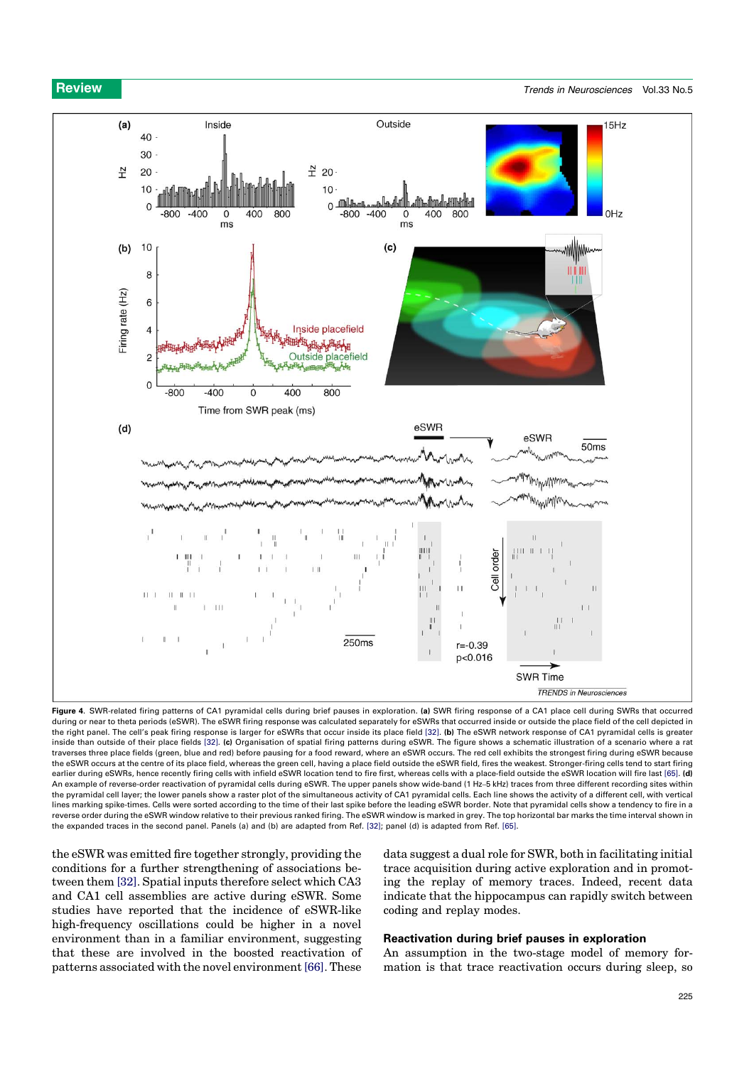

Figure 4. SWR-related firing patterns of CA1 pyramidal cells during brief pauses in exploration. (a) SWR firing response of a CA1 place cell during SWRs that occurred during or near to theta periods (eSWR). The eSWR firing response was calculated separately for eSWRs that occurred inside or outside the place field of the cell depicted in the right panel. The cell's peak firing response is larger for eSWRs that occur inside its place field [32]. (b) The eSWR network response of CA1 pyramidal cells is greater inside than outside of their place fields [32]. (c) Organisation of spatial firing patterns during eSWR. The figure shows a schematic illustration of a scenario where a rat traverses three place fields (green, blue and red) before pausing for a food reward, where an eSWR occurs. The red cell exhibits the strongest firing during eSWR because the eSWR occurs at the centre of its place field, whereas the green cell, having a place field outside the eSWR field, fires the weakest. Stronger-firing cells tend to start firing earlier during eSWRs, hence recently firing cells with infield eSWR location tend to fire first, whereas cells with a place-field outside the eSWR location will fire last [65]. (d) An example of reverse-order reactivation of pyramidal cells during eSWR. The upper panels show wide-band (1 Hz–5 kHz) traces from three different recording sites within the pyramidal cell layer; the lower panels show a raster plot of the simultaneous activity of CA1 pyramidal cells. Each line shows the activity of a different cell, with vertical lines marking spike-times. Cells were sorted according to the time of their last spike before the leading eSWR border. Note that pyramidal cells show a tendency to fire in a reverse order during the eSWR window relative to their previous ranked firing. The eSWR window is marked in grey. The top horizontal bar marks the time interval shown in the expanded traces in the second panel. Panels (a) and (b) are adapted from Ref. [32]; panel (d) is adapted from Ref. [65].

the eSWR was emitted fire together strongly, providing the conditions for a further strengthening of associations between them [32]. Spatial inputs therefore select which CA3 and CA1 cell assemblies are active during eSWR. Some studies have reported that the incidence of eSWR-like high-frequency oscillations could be higher in a novel environment than in a familiar environment, suggesting that these are involved in the boosted reactivation of patterns associated with the novel environment [66]. These

data suggest a dual role for SWR, both in facilitating initial trace acquisition during active exploration and in promoting the replay of memory traces. Indeed, recent data indicate that the hippocampus can rapidly switch between coding and replay modes.

# Reactivation during brief pauses in exploration

An assumption in the two-stage model of memory formation is that trace reactivation occurs during sleep, so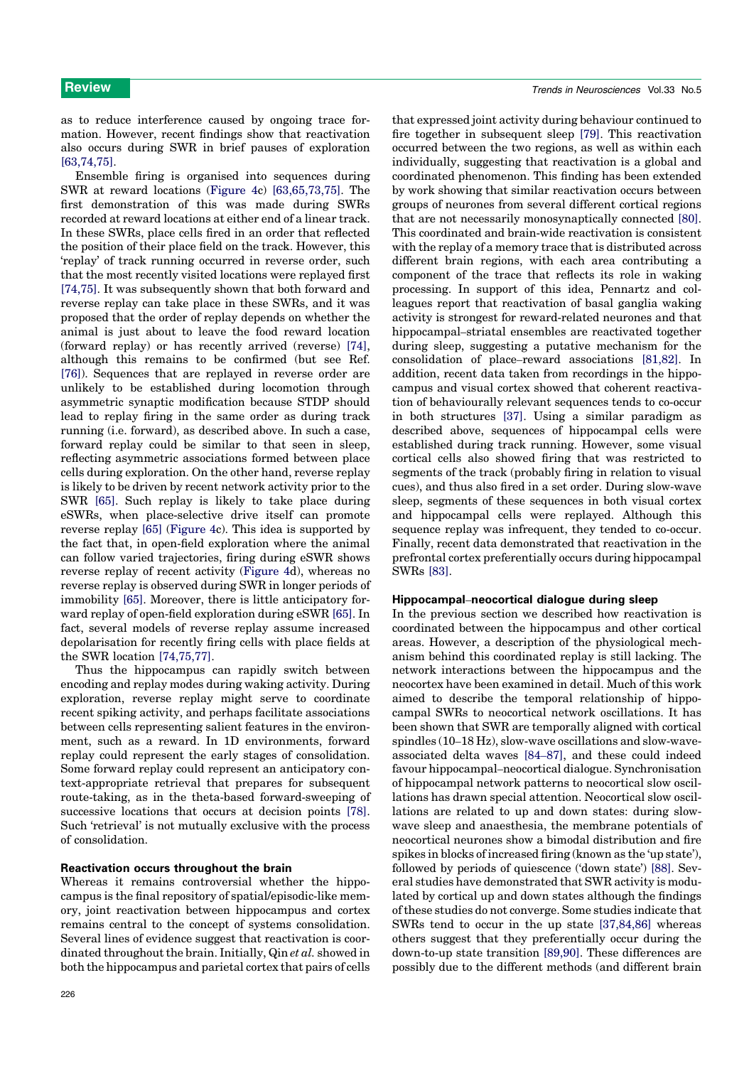as to reduce interference caused by ongoing trace formation. However, recent findings show that reactivation also occurs during SWR in brief pauses of exploration [63,74,75].

Ensemble firing is organised into sequences during SWR at reward locations (Figure 4c) [63,65,73,75]. The first demonstration of this was made during SWRs recorded at reward locations at either end of a linear track. In these SWRs, place cells fired in an order that reflected the position of their place field on the track. However, this 'replay' of track running occurred in reverse order, such that the most recently visited locations were replayed first [74,75]. It was subsequently shown that both forward and reverse replay can take place in these SWRs, and it was proposed that the order of replay depends on whether the animal is just about to leave the food reward location (forward replay) or has recently arrived (reverse) [74], although this remains to be confirmed (but see Ref. [76]). Sequences that are replayed in reverse order are unlikely to be established during locomotion through asymmetric synaptic modification because STDP should lead to replay firing in the same order as during track running (i.e. forward), as described above. In such a case, forward replay could be similar to that seen in sleep, reflecting asymmetric associations formed between place cells during exploration. On the other hand, reverse replay is likely to be driven by recent network activity prior to the SWR [65]. Such replay is likely to take place during eSWRs, when place-selective drive itself can promote reverse replay [65] (Figure 4c). This idea is supported by the fact that, in open-field exploration where the animal can follow varied trajectories, firing during eSWR shows reverse replay of recent activity (Figure 4d), whereas no reverse replay is observed during SWR in longer periods of immobility [65]. Moreover, there is little anticipatory forward replay of open-field exploration during eSWR [65]. In fact, several models of reverse replay assume increased depolarisation for recently firing cells with place fields at the SWR location [74,75,77].

Thus the hippocampus can rapidly switch between encoding and replay modes during waking activity. During exploration, reverse replay might serve to coordinate recent spiking activity, and perhaps facilitate associations between cells representing salient features in the environment, such as a reward. In 1D environments, forward replay could represent the early stages of consolidation. Some forward replay could represent an anticipatory context-appropriate retrieval that prepares for subsequent route-taking, as in the theta-based forward-sweeping of successive locations that occurs at decision points [78]. Such 'retrieval' is not mutually exclusive with the process of consolidation.

# Reactivation occurs throughout the brain

Whereas it remains controversial whether the hippocampus is the final repository of spatial/episodic-like memory, joint reactivation between hippocampus and cortex remains central to the concept of systems consolidation. Several lines of evidence suggest that reactivation is coordinated throughout the brain. Initially, Qin et al. showed in both the hippocampus and parietal cortex that pairs of cells that expressed joint activity during behaviour continued to fire together in subsequent sleep [79]. This reactivation occurred between the two regions, as well as within each individually, suggesting that reactivation is a global and coordinated phenomenon. This finding has been extended by work showing that similar reactivation occurs between groups of neurones from several different cortical regions that are not necessarily monosynaptically connected [80]. This coordinated and brain-wide reactivation is consistent with the replay of a memory trace that is distributed across different brain regions, with each area contributing a component of the trace that reflects its role in waking processing. In support of this idea, Pennartz and colleagues report that reactivation of basal ganglia waking activity is strongest for reward-related neurones and that hippocampal–striatal ensembles are reactivated together during sleep, suggesting a putative mechanism for the consolidation of place–reward associations [81,82]. In addition, recent data taken from recordings in the hippocampus and visual cortex showed that coherent reactivation of behaviourally relevant sequences tends to co-occur in both structures [37]. Using a similar paradigm as described above, sequences of hippocampal cells were established during track running. However, some visual cortical cells also showed firing that was restricted to segments of the track (probably firing in relation to visual cues), and thus also fired in a set order. During slow-wave sleep, segments of these sequences in both visual cortex and hippocampal cells were replayed. Although this sequence replay was infrequent, they tended to co-occur. Finally, recent data demonstrated that reactivation in the prefrontal cortex preferentially occurs during hippocampal SWRs [83].

### Hippocampal–neocortical dialogue during sleep

In the previous section we described how reactivation is coordinated between the hippocampus and other cortical areas. However, a description of the physiological mechanism behind this coordinated replay is still lacking. The network interactions between the hippocampus and the neocortex have been examined in detail. Much of this work aimed to describe the temporal relationship of hippocampal SWRs to neocortical network oscillations. It has been shown that SWR are temporally aligned with cortical spindles (10–18 Hz), slow-wave oscillations and slow-waveassociated delta waves [84–87], and these could indeed favour hippocampal–neocortical dialogue. Synchronisation of hippocampal network patterns to neocortical slow oscillations has drawn special attention. Neocortical slow oscillations are related to up and down states: during slowwave sleep and anaesthesia, the membrane potentials of neocortical neurones show a bimodal distribution and fire spikes in blocks of increased firing (known as the 'up state'), followed by periods of quiescence ('down state') [88]. Several studies have demonstrated that SWR activity is modulated by cortical up and down states although the findings of these studies do not converge. Some studies indicate that SWRs tend to occur in the up state [37,84,86] whereas others suggest that they preferentially occur during the down-to-up state transition [89,90]. These differences are possibly due to the different methods (and different brain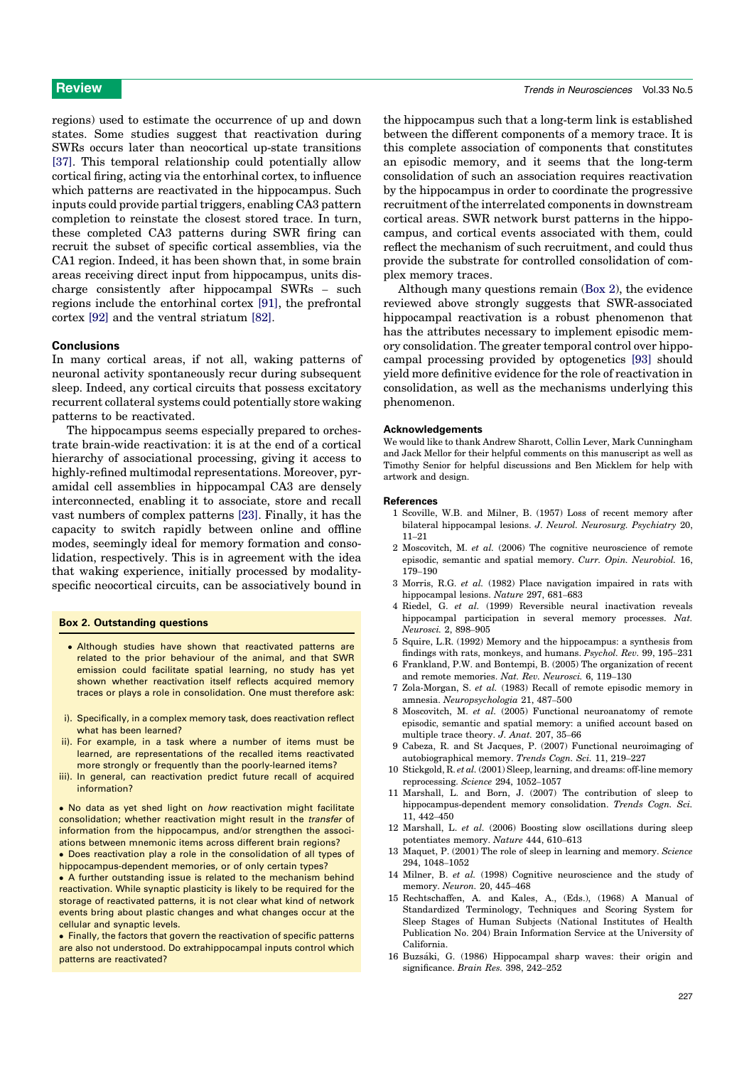regions) used to estimate the occurrence of up and down states. Some studies suggest that reactivation during SWRs occurs later than neocortical up-state transitions [37]. This temporal relationship could potentially allow cortical firing, acting via the entorhinal cortex, to influence which patterns are reactivated in the hippocampus. Such inputs could provide partial triggers, enabling CA3 pattern completion to reinstate the closest stored trace. In turn, these completed CA3 patterns during SWR firing can recruit the subset of specific cortical assemblies, via the CA1 region. Indeed, it has been shown that, in some brain areas receiving direct input from hippocampus, units discharge consistently after hippocampal SWRs – such regions include the entorhinal cortex [91], the prefrontal cortex [92] and the ventral striatum [82].

### Conclusions

In many cortical areas, if not all, waking patterns of neuronal activity spontaneously recur during subsequent sleep. Indeed, any cortical circuits that possess excitatory recurrent collateral systems could potentially store waking patterns to be reactivated.

The hippocampus seems especially prepared to orchestrate brain-wide reactivation: it is at the end of a cortical hierarchy of associational processing, giving it access to highly-refined multimodal representations. Moreover, pyramidal cell assemblies in hippocampal CA3 are densely interconnected, enabling it to associate, store and recall vast numbers of complex patterns [23]. Finally, it has the capacity to switch rapidly between online and offline modes, seemingly ideal for memory formation and consolidation, respectively. This is in agreement with the idea that waking experience, initially processed by modalityspecific neocortical circuits, can be associatively bound in

### Box 2. Outstanding questions

- Although studies have shown that reactivated patterns are related to the prior behaviour of the animal, and that SWR emission could facilitate spatial learning, no study has yet shown whether reactivation itself reflects acquired memory traces or plays a role in consolidation. One must therefore ask:
- i). Specifically, in a complex memory task, does reactivation reflect what has been learned?
- ii). For example, in a task where a number of items must be learned, are representations of the recalled items reactivated more strongly or frequently than the poorly-learned items?
- iii). In general, can reactivation predict future recall of acquired information?

. No data as yet shed light on how reactivation might facilitate consolidation; whether reactivation might result in the transfer of information from the hippocampus, and/or strengthen the associations between mnemonic items across different brain regions? Does reactivation play a role in the consolidation of all types of

hippocampus-dependent memories, or of only certain types?

 A further outstanding issue is related to the mechanism behind reactivation. While synaptic plasticity is likely to be required for the storage of reactivated patterns, it is not clear what kind of network events bring about plastic changes and what changes occur at the cellular and synaptic levels.

• Finally, the factors that govern the reactivation of specific patterns are also not understood. Do extrahippocampal inputs control which patterns are reactivated?

the hippocampus such that a long-term link is established between the different components of a memory trace. It is this complete association of components that constitutes an episodic memory, and it seems that the long-term consolidation of such an association requires reactivation by the hippocampus in order to coordinate the progressive recruitment of the interrelated components in downstream cortical areas. SWR network burst patterns in the hippocampus, and cortical events associated with them, could reflect the mechanism of such recruitment, and could thus provide the substrate for controlled consolidation of complex memory traces.

Although many questions remain (Box 2), the evidence reviewed above strongly suggests that SWR-associated hippocampal reactivation is a robust phenomenon that has the attributes necessary to implement episodic memory consolidation. The greater temporal control over hippocampal processing provided by optogenetics [93] should yield more definitive evidence for the role of reactivation in consolidation, as well as the mechanisms underlying this phenomenon.

### Acknowledgements

We would like to thank Andrew Sharott, Collin Lever, Mark Cunningham and Jack Mellor for their helpful comments on this manuscript as well as Timothy Senior for helpful discussions and Ben Micklem for help with artwork and design.

### References

- 1 Scoville, W.B. and Milner, B. (1957) Loss of recent memory after bilateral hippocampal lesions. J. Neurol. Neurosurg. Psychiatry 20, 11–21
- 2 Moscovitch, M. et al. (2006) The cognitive neuroscience of remote episodic, semantic and spatial memory. Curr. Opin. Neurobiol. 16, 179–190
- 3 Morris, R.G. et al. (1982) Place navigation impaired in rats with hippocampal lesions. Nature 297, 681–683
- 4 Riedel, G. et al. (1999) Reversible neural inactivation reveals hippocampal participation in several memory processes. Nat. Neurosci. 2, 898–905
- 5 Squire, L.R. (1992) Memory and the hippocampus: a synthesis from findings with rats, monkeys, and humans. Psychol. Rev. 99, 195–231
- 6 Frankland, P.W. and Bontempi, B. (2005) The organization of recent and remote memories. Nat. Rev. Neurosci. 6, 119–130
- 7 Zola-Morgan, S. et al. (1983) Recall of remote episodic memory in amnesia. Neuropsychologia 21, 487–500
- 8 Moscovitch, M. et al. (2005) Functional neuroanatomy of remote episodic, semantic and spatial memory: a unified account based on multiple trace theory. J. Anat. 207, 35–66
- 9 Cabeza, R. and St Jacques, P. (2007) Functional neuroimaging of autobiographical memory. Trends Cogn. Sci. 11, 219–227
- 10 Stickgold, R. et al. (2001) Sleep, learning, and dreams: off-line memory reprocessing. Science 294, 1052–1057
- 11 Marshall, L. and Born, J. (2007) The contribution of sleep to hippocampus-dependent memory consolidation. Trends Cogn. Sci. 11, 442–450
- 12 Marshall, L. et al. (2006) Boosting slow oscillations during sleep potentiates memory. Nature 444, 610–613
- 13 Maquet, P. (2001) The role of sleep in learning and memory. Science 294, 1048–1052
- 14 Milner, B. et al. (1998) Cognitive neuroscience and the study of memory. Neuron. 20, 445–468
- 15 Rechtschaffen, A. and Kales, A., (Eds.), (1968) A Manual of Standardized Terminology, Techniques and Scoring System for Sleep Stages of Human Subjects (National Institutes of Health Publication No. 204) Brain Information Service at the University of California.
- 16 Buzsáki, G. (1986) Hippocampal sharp waves: their origin and significance. Brain Res. 398, 242–252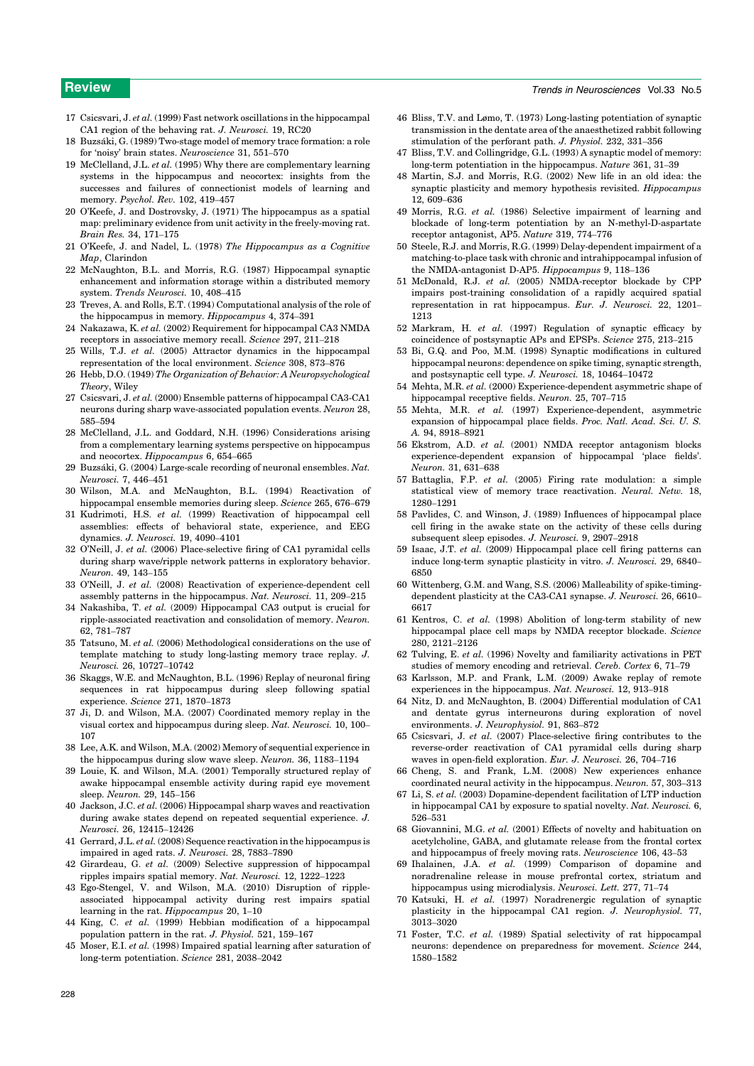# **Review Trends in Neurosciences** Vol.33 No.5

- 17 Csicsvari, J. et al. (1999) Fast network oscillations in the hippocampal CA1 region of the behaving rat. J. Neurosci. 19, RC20
- 18 Buzsáki, G. (1989) Two-stage model of memory trace formation: a role for 'noisy' brain states. Neuroscience 31, 551–570
- 19 McClelland, J.L. et al. (1995) Why there are complementary learning systems in the hippocampus and neocortex: insights from the successes and failures of connectionist models of learning and memory. Psychol. Rev. 102, 419–457
- 20 O'Keefe, J. and Dostrovsky, J. (1971) The hippocampus as a spatial map: preliminary evidence from unit activity in the freely-moving rat. Brain Res. 34, 171–175
- 21 O'Keefe, J. and Nadel, L. (1978) The Hippocampus as a Cognitive Map, Clarindon
- 22 McNaughton, B.L. and Morris, R.G. (1987) Hippocampal synaptic enhancement and information storage within a distributed memory system. Trends Neurosci. 10, 408–415
- 23 Treves, A. and Rolls, E.T. (1994) Computational analysis of the role of the hippocampus in memory. Hippocampus 4, 374–391
- 24 Nakazawa, K. et al. (2002) Requirement for hippocampal CA3 NMDA receptors in associative memory recall. Science 297, 211–218
- 25 Wills, T.J. et al. (2005) Attractor dynamics in the hippocampal representation of the local environment. Science 308, 873–876
- 26 Hebb, D.O. (1949) The Organization of Behavior: A Neuropsychological Theory, Wiley
- 27 Csicsvari, J. et al. (2000) Ensemble patterns of hippocampal CA3-CA1 neurons during sharp wave-associated population events. Neuron 28, 585–594
- 28 McClelland, J.L. and Goddard, N.H. (1996) Considerations arising from a complementary learning systems perspective on hippocampus and neocortex. Hippocampus 6, 654–665
- 29 Buzsáki, G. (2004) Large-scale recording of neuronal ensembles. Nat. Neurosci. 7, 446–451
- 30 Wilson, M.A. and McNaughton, B.L. (1994) Reactivation of hippocampal ensemble memories during sleep. Science 265, 676–679
- 31 Kudrimoti, H.S. et al. (1999) Reactivation of hippocampal cell assemblies: effects of behavioral state, experience, and EEG dynamics. J. Neurosci. 19, 4090–4101
- 32 O'Neill, J. et al. (2006) Place-selective firing of CA1 pyramidal cells during sharp wave/ripple network patterns in exploratory behavior. Neuron. 49, 143–155
- 33 O'Neill, J. et al. (2008) Reactivation of experience-dependent cell assembly patterns in the hippocampus. Nat. Neurosci. 11, 209–215
- 34 Nakashiba, T. et al. (2009) Hippocampal CA3 output is crucial for ripple-associated reactivation and consolidation of memory. Neuron. 62, 781–787
- 35 Tatsuno, M. et al. (2006) Methodological considerations on the use of template matching to study long-lasting memory trace replay. J. Neurosci. 26, 10727–10742
- 36 Skaggs, W.E. and McNaughton, B.L. (1996) Replay of neuronal firing sequences in rat hippocampus during sleep following spatial experience. Science 271, 1870–1873
- 37 Ji, D. and Wilson, M.A. (2007) Coordinated memory replay in the visual cortex and hippocampus during sleep. Nat. Neurosci. 10, 100– 107
- 38 Lee, A.K. and Wilson, M.A. (2002) Memory of sequential experience in the hippocampus during slow wave sleep. Neuron. 36, 1183–1194
- 39 Louie, K. and Wilson, M.A. (2001) Temporally structured replay of awake hippocampal ensemble activity during rapid eye movement sleep. Neuron. 29, 145–156
- 40 Jackson, J.C. et al. (2006) Hippocampal sharp waves and reactivation during awake states depend on repeated sequential experience. J. Neurosci. 26, 12415–12426
- 41 Gerrard, J.L. et al. (2008) Sequence reactivation in the hippocampus is impaired in aged rats. J. Neurosci. 28, 7883–7890
- 42 Girardeau, G. et al. (2009) Selective suppression of hippocampal ripples impairs spatial memory. Nat. Neurosci. 12, 1222–1223
- 43 Ego-Stengel, V. and Wilson, M.A. (2010) Disruption of rippleassociated hippocampal activity during rest impairs spatial learning in the rat. Hippocampus 20, 1–10
- 44 King, C. et al. (1999) Hebbian modification of a hippocampal population pattern in the rat. J. Physiol. 521, 159–167
- 45 Moser, E.I. et al. (1998) Impaired spatial learning after saturation of long-term potentiation. Science 281, 2038–2042
- 46 Bliss, T.V. and Lømo, T. (1973) Long-lasting potentiation of synaptic transmission in the dentate area of the anaesthetized rabbit following stimulation of the perforant path. J. Physiol. 232, 331–356
- 47 Bliss, T.V. and Collingridge, G.L. (1993) A synaptic model of memory: long-term potentiation in the hippocampus. Nature 361, 31–39
- 48 Martin, S.J. and Morris, R.G. (2002) New life in an old idea: the synaptic plasticity and memory hypothesis revisited. Hippocampus 12, 609–636
- 49 Morris, R.G. et al. (1986) Selective impairment of learning and blockade of long-term potentiation by an N-methyl-D-aspartate receptor antagonist, AP5. Nature 319, 774–776
- 50 Steele, R.J. and Morris, R.G. (1999) Delay-dependent impairment of a matching-to-place task with chronic and intrahippocampal infusion of the NMDA-antagonist D-AP5. Hippocampus 9, 118–136
- 51 McDonald, R.J. et al. (2005) NMDA-receptor blockade by CPP impairs post-training consolidation of a rapidly acquired spatial representation in rat hippocampus. Eur. J. Neurosci. 22, 1201– 1213
- 52 Markram, H. et al. (1997) Regulation of synaptic efficacy by coincidence of postsynaptic APs and EPSPs. Science 275, 213–215
- 53 Bi, G.Q. and Poo, M.M. (1998) Synaptic modifications in cultured hippocampal neurons: dependence on spike timing, synaptic strength, and postsynaptic cell type. J. Neurosci. 18, 10464–10472
- 54 Mehta, M.R. et al. (2000) Experience-dependent asymmetric shape of hippocampal receptive fields. Neuron. 25, 707–715
- 55 Mehta, M.R. et al. (1997) Experience-dependent, asymmetric expansion of hippocampal place fields. Proc. Natl. Acad. Sci. U. S. A. 94, 8918–8921
- 56 Ekstrom, A.D. et al. (2001) NMDA receptor antagonism blocks experience-dependent expansion of hippocampal 'place fields'. Neuron. 31, 631–638
- 57 Battaglia, F.P. et al. (2005) Firing rate modulation: a simple statistical view of memory trace reactivation. Neural. Netw. 18, 1280–1291
- 58 Pavlides, C. and Winson, J. (1989) Influences of hippocampal place cell firing in the awake state on the activity of these cells during subsequent sleep episodes. J. Neurosci. 9, 2907–2918
- 59 Isaac, J.T. et al. (2009) Hippocampal place cell firing patterns can induce long-term synaptic plasticity in vitro. J. Neurosci. 29, 6840– 6850
- 60 Wittenberg, G.M. and Wang, S.S. (2006) Malleability of spike-timingdependent plasticity at the CA3-CA1 synapse. J. Neurosci. 26, 6610– 6617
- 61 Kentros, C. et al. (1998) Abolition of long-term stability of new hippocampal place cell maps by NMDA receptor blockade. Science 280, 2121–2126
- 62 Tulving, E. et al. (1996) Novelty and familiarity activations in PET studies of memory encoding and retrieval. Cereb. Cortex 6, 71–79
- 63 Karlsson, M.P. and Frank, L.M. (2009) Awake replay of remote experiences in the hippocampus. Nat. Neurosci. 12, 913–918
- 64 Nitz, D. and McNaughton, B. (2004) Differential modulation of CA1 and dentate gyrus interneurons during exploration of novel environments. J. Neurophysiol. 91, 863–872
- 65 Csicsvari, J. et al. (2007) Place-selective firing contributes to the reverse-order reactivation of CA1 pyramidal cells during sharp waves in open-field exploration. Eur. J. Neurosci. 26, 704–716
- 66 Cheng, S. and Frank, L.M. (2008) New experiences enhance coordinated neural activity in the hippocampus. Neuron. 57, 303–313
- 67 Li, S. et al. (2003) Dopamine-dependent facilitation of LTP induction in hippocampal CA1 by exposure to spatial novelty. Nat. Neurosci. 6, 526–531
- 68 Giovannini, M.G. et al. (2001) Effects of novelty and habituation on acetylcholine, GABA, and glutamate release from the frontal cortex and hippocampus of freely moving rats. Neuroscience 106, 43–53
- 69 Ihalainen, J.A. et al. (1999) Comparison of dopamine and noradrenaline release in mouse prefrontal cortex, striatum and hippocampus using microdialysis. Neurosci. Lett. 277, 71–74
- 70 Katsuki, H. et al. (1997) Noradrenergic regulation of synaptic plasticity in the hippocampal CA1 region. J. Neurophysiol. 77, 3013–3020
- 71 Foster, T.C. et al. (1989) Spatial selectivity of rat hippocampal neurons: dependence on preparedness for movement. Science 244, 1580–1582